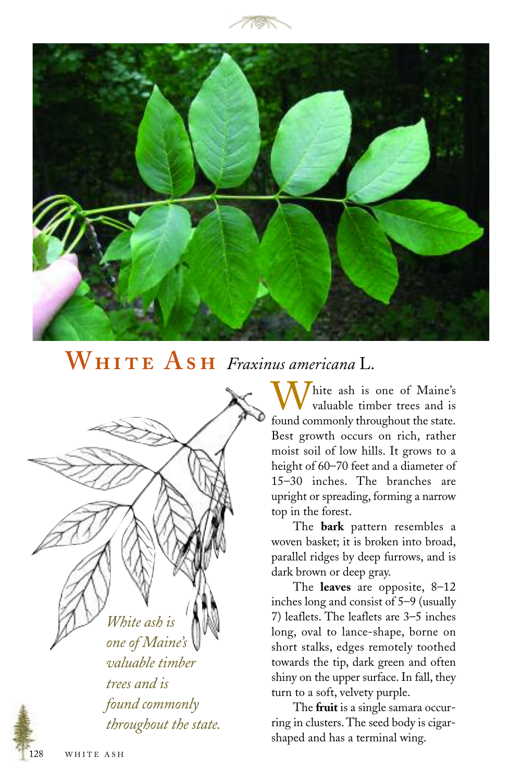



## **W A** *Fraxinus americana* L.

*White ash is one of Maine's valuable timber trees and is found commonly throughout the state.*

hite ash is one of Maine's valuable timber trees and is found commonly throughout the state. Best growth occurs on rich, rather moist soil of low hills. It grows to a height of 60–70 feet and a diameter of 15–30 inches. The branches are upright or spreading, forming a narrow top in the forest.

The **bark** pattern resembles a woven basket; it is broken into broad, parallel ridges by deep furrows, and is dark brown or deep gray.

The **leaves** are opposite, 8–12 inches long and consist of 5–9 (usually 7) leaflets. The leaflets are 3–5 inches long, oval to lance-shape, borne on short stalks, edges remotely toothed towards the tip, dark green and often shiny on the upper surface. In fall, they turn to a soft, velvety purple.

The **fruit** is a single samara occurring in clusters. The seed body is cigarshaped and has a terminal wing.